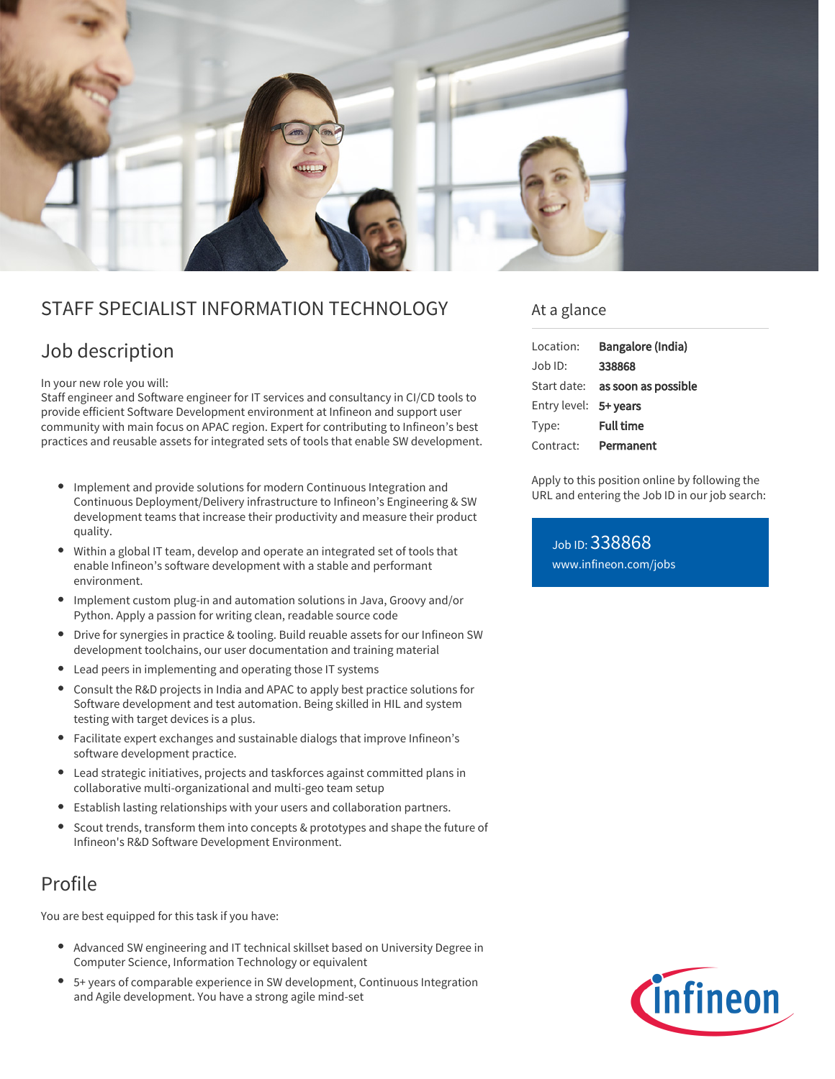

## STAFF SPECIALIST INFORMATION TECHNOLOGY

# Job description

In your new role you will:

Staff engineer and Software engineer for IT services and consultancy in CI/CD tools to provide efficient Software Development environment at Infineon and support user community with main focus on APAC region. Expert for contributing to Infineon's best practices and reusable assets for integrated sets of tools that enable SW development.

- Implement and provide solutions for modern Continuous Integration and Continuous Deployment/Delivery infrastructure to Infineon's Engineering & SW development teams that increase their productivity and measure their product quality.
- Within a global IT team, develop and operate an integrated set of tools that enable Infineon's software development with a stable and performant environment.
- Implement custom plug-in and automation solutions in Java, Groovy and/or Python. Apply a passion for writing clean, readable source code
- $\bullet$ Drive for synergies in practice & tooling. Build reuable assets for our Infineon SW development toolchains, our user documentation and training material
- Lead peers in implementing and operating those IT systems
- Consult the R&D projects in India and APAC to apply best practice solutions for  $\bullet$ Software development and test automation. Being skilled in HIL and system testing with target devices is a plus.
- Facilitate expert exchanges and sustainable dialogs that improve Infineon's software development practice.
- Lead strategic initiatives, projects and taskforces against committed plans in collaborative multi-organizational and multi-geo team setup
- Establish lasting relationships with your users and collaboration partners.
- $\bullet$ Scout trends, transform them into concepts & prototypes and shape the future of Infineon's R&D Software Development Environment.

## Profile

You are best equipped for this task if you have:

- Advanced SW engineering and IT technical skillset based on University Degree in Computer Science, Information Technology or equivalent
- 5+ years of comparable experience in SW development, Continuous Integration and Agile development. You have a strong agile mind-set

### At a glance

| Location:             | Bangalore (India)               |
|-----------------------|---------------------------------|
| $Joh$ ID:             | 338868                          |
|                       | Start date: as soon as possible |
| Entry level: 5+ years |                                 |
| Type:                 | <b>Full time</b>                |
| Contract:             | Permanent                       |

Apply to this position online by following the URL and entering the Job ID in our job search:

Job ID: 338868 [www.infineon.com/jobs](https://www.infineon.com/jobs)